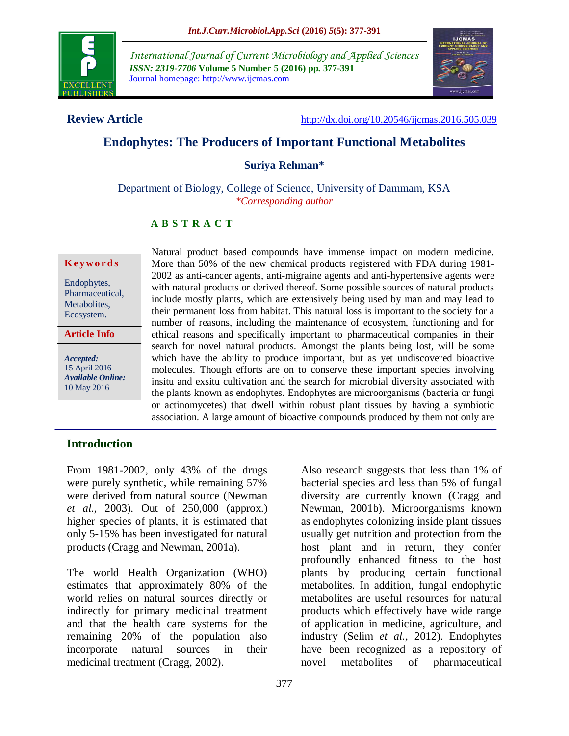

*International Journal of Current Microbiology and Applied Sciences ISSN: 2319-7706* **Volume 5 Number 5 (2016) pp. 377-391** Journal homepage: http://www.ijcmas.com



**Review Article** <http://dx.doi.org/10.20546/ijcmas.2016.505.039>

# **Endophytes: The Producers of Important Functional Metabolites**

**Suriya Rehman\***

Department of Biology, College of Science, University of Dammam, KSA *\*Corresponding author*

#### **A B S T R A C T**

#### **K ey w o rd s**

Endophytes, Pharmaceutical, Metabolites, Ecosystem.

**Article Info**

*Accepted:*  15 April 2016 *Available Online:* 10 May 2016

Natural product based compounds have immense impact on modern medicine. More than 50% of the new chemical products registered with FDA during 1981- 2002 as anti-cancer agents, anti-migraine agents and anti-hypertensive agents were with natural products or derived thereof. Some possible sources of natural products include mostly plants, which are extensively being used by man and may lead to their permanent loss from habitat. This natural loss is important to the society for a number of reasons, including the maintenance of ecosystem, functioning and for ethical reasons and specifically important to pharmaceutical companies in their search for novel natural products. Amongst the plants being lost, will be some which have the ability to produce important, but as yet undiscovered bioactive molecules. Though efforts are on to conserve these important species involving insitu and exsitu cultivation and the search for microbial diversity associated with the plants known as endophytes. Endophytes are microorganisms (bacteria or fungi or actinomycetes) that dwell within robust plant tissues by having a symbiotic association. A large amount of bioactive compounds produced by them not only are useful for plants but also are of economical importance to humans. In this review, in this review, in this rev

#### **Introduction**

From 1981-2002, only 43% of the drugs were purely synthetic, while remaining 57% were derived from natural source (Newman *et al.,* 2003). Out of 250,000 (approx.) higher species of plants, it is estimated that only 5-15% has been investigated for natural products (Cragg and Newman, 2001a).

The world Health Organization (WHO) estimates that approximately 80% of the world relies on natural sources directly or indirectly for primary medicinal treatment and that the health care systems for the remaining 20% of the population also incorporate natural sources in their medicinal treatment (Cragg, 2002).

Also research suggests that less than 1% of bacterial species and less than 5% of fungal diversity are currently known (Cragg and Newman, 2001b). Microorganisms known as endophytes colonizing inside plant tissues usually get nutrition and protection from the host plant and in return, they confer profoundly enhanced fitness to the host plants by producing certain functional metabolites. In addition, fungal endophytic metabolites are useful resources for natural products which effectively have wide range of application in medicine, agriculture, and industry (Selim *et al.,* 2012). Endophytes have been recognized as a repository of novel metabolites of pharmaceutical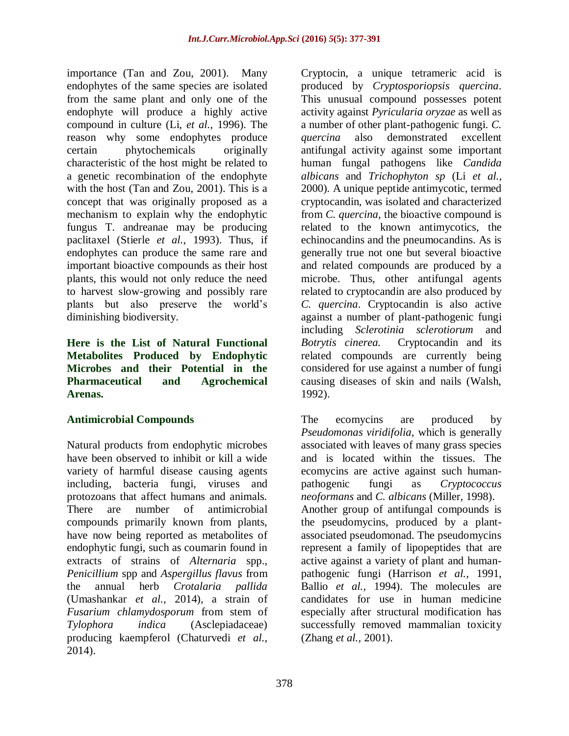importance (Tan and Zou, 2001). Many endophytes of the same species are isolated from the same plant and only one of the endophyte will produce a highly active compound in culture (Li, *et al.,* 1996). The reason why some endophytes produce certain phytochemicals originally characteristic of the host might be related to a genetic recombination of the endophyte with the host (Tan and Zou, 2001). This is a concept that was originally proposed as a mechanism to explain why the endophytic fungus T. andreanae may be producing paclitaxel (Stierle *et al.,* 1993). Thus, if endophytes can produce the same rare and important bioactive compounds as their host plants, this would not only reduce the need to harvest slow-growing and possibly rare plants but also preserve the world's diminishing biodiversity.

**Here is the List of Natural Functional Metabolites Produced by Endophytic Microbes and their Potential in the Pharmaceutical and Agrochemical Arenas.**

# **Antimicrobial Compounds**

Natural products from endophytic microbes have been observed to inhibit or kill a wide variety of harmful disease causing agents including, bacteria fungi, viruses and protozoans that affect humans and animals. There are number of antimicrobial compounds primarily known from plants, have now being reported as metabolites of endophytic fungi, such as coumarin found in extracts of strains of *Alternaria* spp., *Penicillium* spp and *Aspergillus flavus* from the annual herb *Crotalaria pallida*  (Umashankar *et al.,* 2014), a strain of *Fusarium chlamydosporum* from stem of *Tylophora indica* (Asclepiadaceae) producing kaempferol (Chaturvedi *et al.,* 2014).

Cryptocin, a unique tetrameric acid is produced by *Cryptosporiopsis quercina*. This unusual compound possesses potent activity against *Pyricularia oryzae* as well as a number of other plant-pathogenic fungi. *C. quercina* also demonstrated excellent antifungal activity against some important human fungal pathogens like *Candida albicans* and *Trichophyton sp* (Li *et al.,* 2000)*.* A unique peptide antimycotic, termed cryptocandin, was isolated and characterized from *C. quercina*, the bioactive compound is related to the known antimycotics, the echinocandins and the pneumocandins. As is generally true not one but several bioactive and related compounds are produced by a microbe. Thus, other antifungal agents related to cryptocandin are also produced by *C. quercina*. Cryptocandin is also active against a number of plant-pathogenic fungi including *Sclerotinia sclerotiorum* and *Botrytis cinerea.* Cryptocandin and its related compounds are currently being considered for use against a number of fungi causing diseases of skin and nails (Walsh, 1992).

The ecomycins are produced by *Pseudomonas viridifolia,* which is generally associated with leaves of many grass species and is located within the tissues. The ecomycins are active against such humanpathogenic fungi as *Cryptococcus neoformans* and *C. albicans* (Miller, 1998). Another group of antifungal compounds is the pseudomycins, produced by a plantassociated pseudomonad. The pseudomycins represent a family of lipopeptides that are active against a variety of plant and humanpathogenic fungi (Harrison *et al.,* 1991, Ballio *et al.,* 1994). The molecules are candidates for use in human medicine especially after structural modification has successfully removed mammalian toxicity (Zhang *et al.,* 2001).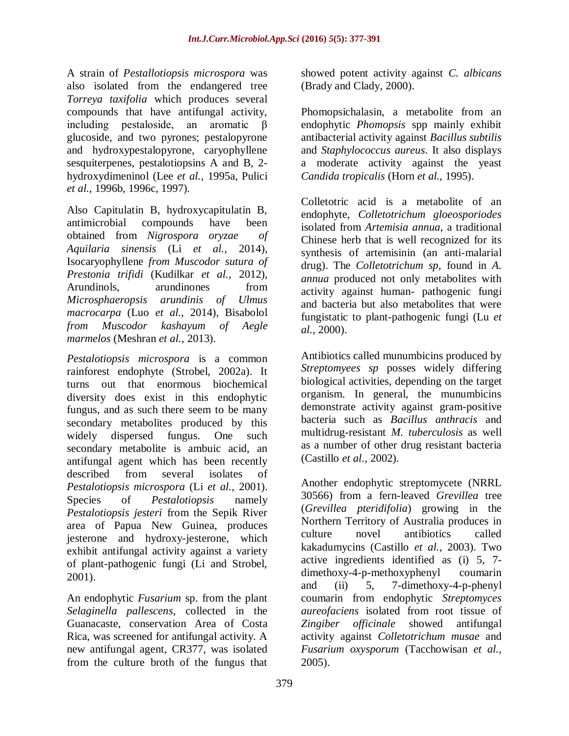A strain of *Pestallotiopsis microspora* was also isolated from the endangered tree *Torreya taxifolia* which produces several compounds that have antifungal activity, including pestaloside, an aromatic β glucoside, and two pyrones; pestalopyrone and hydroxypestalopyrone, caryophyllene sesquiterpenes, pestalotiopsins A and B, 2 hydroxydimeninol (Lee *et al.,* 1995a, Pulici *et al.,* 1996b, 1996c, 1997).

Also Capitulatin B, hydroxycapitulatin B, antimicrobial compounds have been obtained from *Nigrospora oryzae of Aquilaria sinensis* (Li *et al.,* 2014), Isocaryophyllene *from Muscodor sutura of Prestonia trifidi* (Kudilkar *et al.,* 2012), Arundinols, arundinones from *Microsphaeropsis arundinis of Ulmus macrocarpa* (Luo *et al.,* 2014), Bisabolol *from Muscodor kashayum of Aegle marmelos* (Meshran *et al.,* 2013).

*Pestalotiopsis microspora* is a common rainforest endophyte (Strobel, 2002a). It turns out that enormous biochemical diversity does exist in this endophytic fungus, and as such there seem to be many secondary metabolites produced by this widely dispersed fungus. One such secondary metabolite is ambuic acid, an antifungal agent which has been recently described from several isolates of *Pestalotiopsis microspora* (Li *et al.,* 2001). Species of *Pestalotiopsis* namely *Pestalotiopsis jesteri* from the Sepik River area of Papua New Guinea, produces jesterone and hydroxy-jesterone, which exhibit antifungal activity against a variety of plant-pathogenic fungi (Li and Strobel, 2001).

An endophytic *Fusarium* sp. from the plant *Selaginella pallescens*, collected in the Guanacaste, conservation Area of Costa Rica, was screened for antifungal activity. A new antifungal agent, CR377, was isolated from the culture broth of the fungus that

showed potent activity against *C. albicans* (Brady and Clady, 2000).

Phomopsichalasin, a metabolite from an endophytic *Phomopsis* spp mainly exhibit antibacterial activity against *Bacillus subtilis* and *Staphylococcus aureus*. It also displays a moderate activity against the yeast *Candida tropicalis* (Horn *et al.,* 1995).

Colletotric acid is a metabolite of an endophyte, *Colletotrichum gloeosporiodes* isolated from *Artemisia annua*, a traditional Chinese herb that is well recognized for its synthesis of artemisinin (an anti-malarial drug). The *Colletotrichum sp*, found in *A. annua* produced not only metabolites with activity against human- pathogenic fungi and bacteria but also metabolites that were fungistatic to plant-pathogenic fungi (Lu *et al.,* 2000).

Antibiotics called munumbicins produced by *Streptomyees sp* posses widely differing biological activities, depending on the target organism. In general, the munumbicins demonstrate activity against gram-positive bacteria such as *Bacillus anthracis* and multidrug-resistant *M. tuberculosis* as well as a number of other drug resistant bacteria (Castillo *et al.*, 2002).

Another endophytic streptomycete (NRRL 30566) from a fern-leaved *Grevillea* tree (*Grevillea pteridifolia*) growing in the Northern Territory of Australia produces in culture novel antibiotics called kakadumycins (Castillo *et al.,* 2003). Two active ingredients identified as (i) 5, 7 dimethoxy-4-p-methoxyphenyl coumarin and (ii) 5, 7-dimethoxy-4-p-phenyl coumarin from endophytic *Streptomyces aureofaciens* isolated from root tissue of *Zingiber officinale* showed antifungal activity against *Colletotrichum musae* and *Fusarium oxysporum* (Tacchowisan *et al.,* 2005).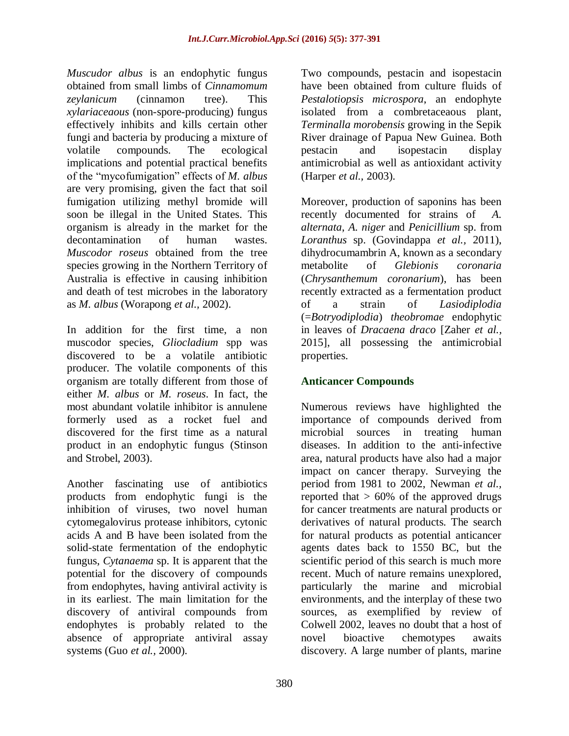*Muscudor albus* is an endophytic fungus obtained from small limbs of *Cinnamomum zeylanicum* (cinnamon tree). This *xylariaceaous* (non-spore-producing) fungus effectively inhibits and kills certain other fungi and bacteria by producing a mixture of volatile compounds. The ecological implications and potential practical benefits of the "mycofumigation" effects of *M. albus* are very promising, given the fact that soil fumigation utilizing methyl bromide will soon be illegal in the United States. This organism is already in the market for the decontamination of human wastes. *Muscodor roseus* obtained from the tree species growing in the Northern Territory of Australia is effective in causing inhibition and death of test microbes in the laboratory as *M. albus* (Worapong *et al.,* 2002).

In addition for the first time, a non muscodor species, *Gliocladium* spp was discovered to be a volatile antibiotic producer. The volatile components of this organism are totally different from those of either *M. albus* or *M. roseus*. In fact, the most abundant volatile inhibitor is annulene formerly used as a rocket fuel and discovered for the first time as a natural product in an endophytic fungus (Stinson and Strobel, 2003).

Another fascinating use of antibiotics products from endophytic fungi is the inhibition of viruses, two novel human cytomegalovirus protease inhibitors, cytonic acids A and B have been isolated from the solid-state fermentation of the endophytic fungus, *Cytanaema* sp. It is apparent that the potential for the discovery of compounds from endophytes, having antiviral activity is in its earliest. The main limitation for the discovery of antiviral compounds from endophytes is probably related to the absence of appropriate antiviral assay systems (Guo *et al.,* 2000).

Two compounds, pestacin and isopestacin have been obtained from culture fluids of *Pestalotiopsis microspora*, an endophyte isolated from a combretaceaous plant, *Terminalla morobensis* growing in the Sepik River drainage of Papua New Guinea. Both pestacin and isopestacin display antimicrobial as well as antioxidant activity (Harper *et al.,* 2003).

Moreover, production of saponins has been recently documented for strains of *A. alternata*, *A. niger* and *Penicillium* sp. from *Loranthus* sp. (Govindappa *et al.,* 2011), dihydrocumambrin A, known as a secondary metabolite of *Glebionis coronaria* (*Chrysanthemum coronarium*), has been recently extracted as a fermentation product of a strain of *Lasiodiplodia*  (=*Botryodiplodia*) *theobromae* endophytic in leaves of *Dracaena draco* [Zaher *et al.,* 2015], all possessing the antimicrobial properties.

# **Anticancer Compounds**

Numerous reviews have highlighted the importance of compounds derived from microbial sources in treating human diseases. In addition to the anti-infective area, natural products have also had a major impact on cancer therapy. Surveying the period from 1981 to 2002, Newman *et al.,* reported that  $> 60\%$  of the approved drugs for cancer treatments are natural products or derivatives of natural products. The search for natural products as potential anticancer agents dates back to 1550 BC, but the scientific period of this search is much more recent. Much of nature remains unexplored, particularly the marine and microbial environments, and the interplay of these two sources, as exemplified by review of Colwell 2002, leaves no doubt that a host of novel bioactive chemotypes awaits discovery. A large number of plants, marine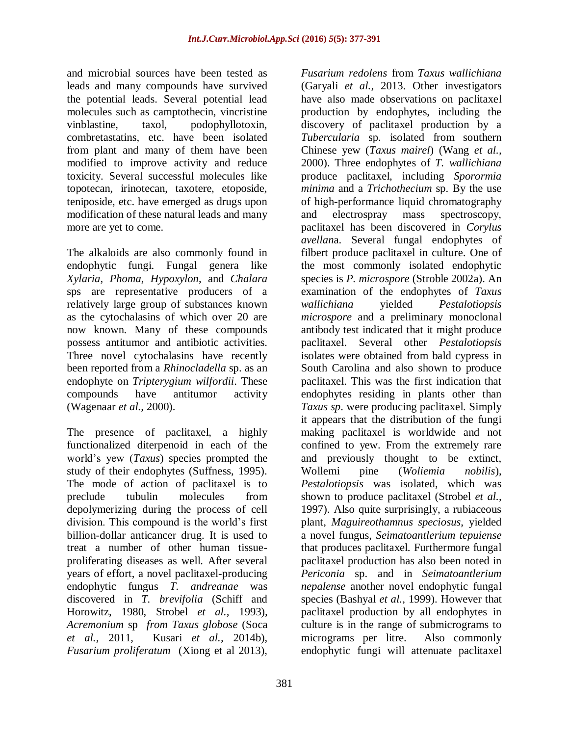and microbial sources have been tested as leads and many compounds have survived the potential leads. Several potential lead molecules such as camptothecin, vincristine vinblastine, taxol, podophyllotoxin, combretastatins, etc. have been isolated from plant and many of them have been modified to improve activity and reduce toxicity. Several successful molecules like topotecan, irinotecan, taxotere, etoposide, teniposide, etc. have emerged as drugs upon modification of these natural leads and many more are yet to come.

The alkaloids are also commonly found in endophytic fungi. Fungal genera like *Xylaria*, *Phoma*, *Hypoxylon*, and *Chalara* sps are representative producers of a relatively large group of substances known as the cytochalasins of which over 20 are now known. Many of these compounds possess antitumor and antibiotic activities. Three novel cytochalasins have recently been reported from a *Rhinocladella* sp. as an endophyte on *Tripterygium wilfordii*. These compounds have antitumor activity (Wagenaar *et al.,* 2000).

The presence of paclitaxel, a highly functionalized diterpenoid in each of the world's yew (*Taxus*) species prompted the study of their endophytes (Suffness, 1995). The mode of action of paclitaxel is to preclude tubulin molecules from depolymerizing during the process of cell division. This compound is the world's first billion-dollar anticancer drug. It is used to treat a number of other human tissueproliferating diseases as well. After several years of effort, a novel paclitaxel-producing endophytic fungus *T. andreanae* was discovered in *T. brevifolia* (Schiff and Horowitz, 1980, Strobel *et al.,* 1993)*, Acremonium* sp *from Taxus globose* (Soca *et al.,* 2011, Kusari *et al.,* 2014b), *Fusarium proliferatum* (Xiong et al 2013),

*Fusarium redolens* from *Taxus wallichiana*  (Garyali *et al.,* 2013. Other investigators have also made observations on paclitaxel production by endophytes, including the discovery of paclitaxel production by a *Tubercularia* sp. isolated from southern Chinese yew (*Taxus mairel*) (Wang *et al.,* 2000). Three endophytes of *T. wallichiana* produce paclitaxel, including *Sporormia minima* and a *Trichothecium* sp. By the use of high-performance liquid chromatography and electrospray mass spectroscopy, paclitaxel has been discovered in *Corylus avellan*a. Several fungal endophytes of filbert produce paclitaxel in culture. One of the most commonly isolated endophytic species is *P. microspore* (Stroble 2002a). An examination of the endophytes of *Taxus wallichiana* yielded *Pestalotiopsis microspore* and a preliminary monoclonal antibody test indicated that it might produce paclitaxel. Several other *Pestalotiopsis*  isolates were obtained from bald cypress in South Carolina and also shown to produce paclitaxel. This was the first indication that endophytes residing in plants other than *Taxus sp*. were producing paclitaxel. Simply it appears that the distribution of the fungi making paclitaxel is worldwide and not confined to yew. From the extremely rare and previously thought to be extinct, Wollemi pine (*Woliemia nobilis*), *Pestalotiopsis* was isolated, which was shown to produce paclitaxel (Strobel *et al.,* 1997). Also quite surprisingly, a rubiaceous plant, *Maguireothamnus speciosus*, yielded a novel fungus, *Seimatoantlerium tepuiense* that produces paclitaxel. Furthermore fungal paclitaxel production has also been noted in *Periconia* sp. and in *Seimatoantlerium nepalense* another novel endophytic fungal species (Bashyal *et al.,* 1999). However that paclitaxel production by all endophytes in culture is in the range of submicrograms to micrograms per litre. Also commonly endophytic fungi will attenuate paclitaxel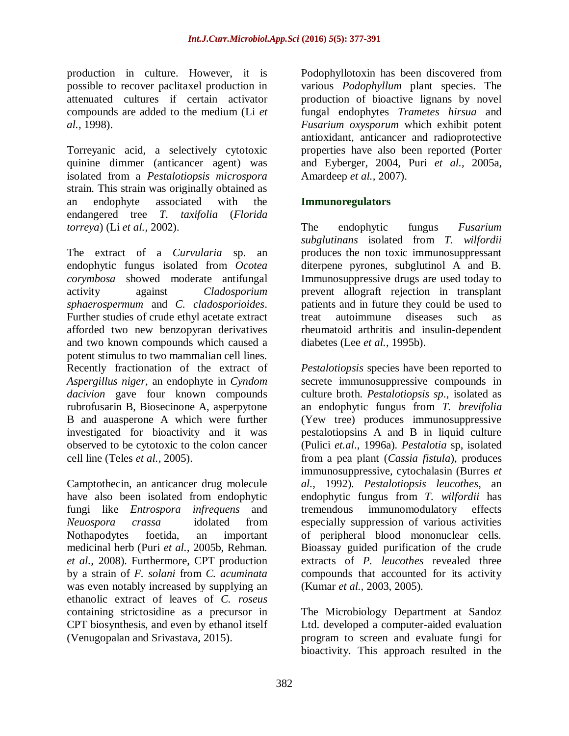production in culture. However, it is possible to recover paclitaxel production in attenuated cultures if certain activator compounds are added to the medium (Li *et al.,* 1998).

Torreyanic acid, a selectively cytotoxic quinine dimmer (anticancer agent) was isolated from a *Pestalotiopsis microspora* strain. This strain was originally obtained as an endophyte associated with the endangered tree *T. taxifolia* (*Florida torreya*) (Li *et al.,* 2002).

The extract of a *Curvularia* sp. an endophytic fungus isolated from *Ocotea corymbosa* showed moderate antifungal activity against *Cladosporium sphaerospermum* and *C. cladosporioides*. Further studies of crude ethyl acetate extract afforded two new benzopyran derivatives and two known compounds which caused a potent stimulus to two mammalian cell lines. Recently fractionation of the extract of *Aspergillus niger*, an endophyte in *Cyndom dacivion* gave four known compounds rubrofusarin B, Biosecinone A, asperpytone B and auasperone A which were further investigated for bioactivity and it was observed to be cytotoxic to the colon cancer cell line (Teles *et al.,* 2005).

Camptothecin, an anticancer drug molecule have also been isolated from endophytic fungi like *Entrospora infrequens* and *Neuospora crassa* idolated from Nothapodytes foetida, an important medicinal herb (Puri *et al.,* 2005b, Rehman*. et al.,* 2008). Furthermore, CPT production by a strain of *F. solani* from *C. acuminata*  was even notably increased by supplying an ethanolic extract of leaves of *C. roseus*  containing strictosidine as a precursor in CPT biosynthesis, and even by ethanol itself (Venugopalan and Srivastava, 2015).

Podophyllotoxin has been discovered from various *Podophyllum* plant species. The production of bioactive lignans by novel fungal endophytes *Trametes hirsua* and *Fusarium oxysporum* which exhibit potent antioxidant, anticancer and radioprotective properties have also been reported (Porter and Eyberger, 2004, Puri *et al.,* 2005a, Amardeep *et al.,* 2007).

### **Immunoregulators**

The endophytic fungus *Fusarium subglutinans* isolated from *T. wilfordii* produces the non toxic immunosuppressant diterpene pyrones, subglutinol A and B. Immunosuppressive drugs are used today to prevent allograft rejection in transplant patients and in future they could be used to treat autoimmune diseases such as rheumatoid arthritis and insulin-dependent diabetes (Lee *et al.,* 1995b).

*Pestalotiopsis* species have been reported to secrete immunosuppressive compounds in culture broth. *Pestalotiopsis sp*., isolated as an endophytic fungus from *T. brevifolia* (Yew tree) produces immunosuppressive pestalotiopsins A and B in liquid culture (Pulici *et.al*., 1996a). *Pestalotia* sp, isolated from a pea plant (*Cassia fistula*), produces immunosuppressive, cytochalasin (Burres *et al.,* 1992). *Pestalotiopsis leucothes*, an endophytic fungus from *T. wilfordii* has tremendous immunomodulatory effects especially suppression of various activities of peripheral blood mononuclear cells. Bioassay guided purification of the crude extracts of *P. leucothes* revealed three compounds that accounted for its activity (Kumar *et al.,* 2003, 2005).

The Microbiology Department at Sandoz Ltd. developed a computer-aided evaluation program to screen and evaluate fungi for bioactivity. This approach resulted in the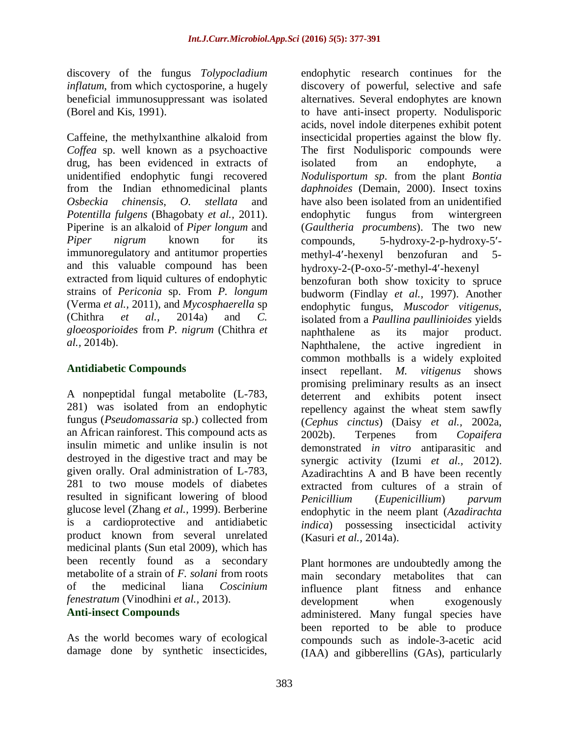discovery of the fungus *Tolypocladium inflatum*, from which cyctosporine, a hugely beneficial immunosuppressant was isolated (Borel and Kis, 1991).

Caffeine, the methylxanthine alkaloid from *Coffea* sp. well known as a psychoactive drug, has been evidenced in extracts of unidentified endophytic fungi recovered from the Indian ethnomedicinal plants *Osbeckia chinensis*, *O. stellata* and *Potentilla fulgens* (Bhagobaty *et al.,* 2011). Piperine is an alkaloid of *Piper longum* and *Piper nigrum* known for its immunoregulatory and antitumor properties and this valuable compound has been extracted from liquid cultures of endophytic strains of *Periconia* sp. From *P. longum*  (Verma *et al.,* 2011), and *Mycosphaerella* sp (Chithra *et al.,* 2014a) and *C. gloeosporioides* from *P. nigrum* (Chithra *et al.,* 2014b).

#### **Antidiabetic Compounds**

A nonpeptidal fungal metabolite (L-783, 281) was isolated from an endophytic fungus (*Pseudomassaria* sp.) collected from an African rainforest. This compound acts as insulin mimetic and unlike insulin is not destroyed in the digestive tract and may be given orally. Oral administration of L-783, 281 to two mouse models of diabetes resulted in significant lowering of blood glucose level (Zhang *et al.,* 1999). Berberine is a cardioprotective and antidiabetic product known from several unrelated medicinal plants (Sun etal 2009), which has been recently found as a secondary metabolite of a strain of *F. solani* from roots of the medicinal liana *Coscinium fenestratum* (Vinodhini *et al.,* 2013). **Anti-insect Compounds**

As the world becomes wary of ecological damage done by synthetic insecticides, endophytic research continues for the discovery of powerful, selective and safe alternatives. Several endophytes are known to have anti-insect property. Nodulisporic acids, novel indole diterpenes exhibit potent insecticidal properties against the blow fly. The first Nodulisporic compounds were isolated from an endophyte, a *Nodulisportum sp*. from the plant *Bontia daphnoides* (Demain, 2000). Insect toxins have also been isolated from an unidentified endophytic fungus from wintergreen (*Gaultheria procumbens*). The two new compounds, 5-hydroxy-2-p-hydroxy-5 methyl-4-hexenyl benzofuran and 5 hydroxy-2-(P-oxo-5-methyl-4-hexenyl benzofuran both show toxicity to spruce budworm (Findlay *et al.,* 1997). Another endophytic fungus, *Muscodor vitigenus*, isolated from a *Paullina paullinioides* yields naphthalene as its major product. Naphthalene, the active ingredient in common mothballs is a widely exploited insect repellant. *M. vitigenus* shows promising preliminary results as an insect deterrent and exhibits potent insect repellency against the wheat stem sawfly (*Cephus cinctus*) (Daisy *et al.,* 2002a, 2002b). Terpenes from *Copaifera*  demonstrated *in vitro* antiparasitic and synergic activity (Izumi *et al.,* 2012). Azadirachtins A and B have been recently extracted from cultures of a strain of *Penicillium* (*Eupenicillium*) *parvum*  endophytic in the neem plant (*Azadirachta indica*) possessing insecticidal activity (Kasuri *et al.,* 2014a).

Plant hormones are undoubtedly among the main secondary metabolites that can influence plant fitness and enhance development when exogenously administered. Many fungal species have been reported to be able to produce compounds such as indole-3-acetic acid (IAA) and gibberellins (GAs), particularly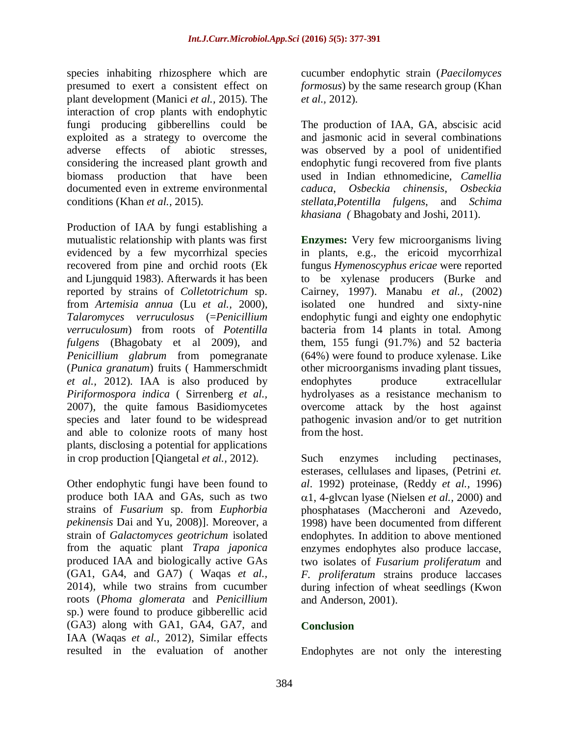species inhabiting rhizosphere which are presumed to exert a consistent effect on plant development (Manici *et al.,* 2015). The interaction of crop plants with endophytic fungi producing gibberellins could be exploited as a strategy to overcome the adverse effects of abiotic stresses, considering the increased plant growth and biomass production that have been documented even in extreme environmental conditions (Khan *et al.,* 2015).

Production of IAA by fungi establishing a mutualistic relationship with plants was first evidenced by a few mycorrhizal species recovered from pine and orchid roots (Ek and Ljungquid 1983). Afterwards it has been reported by strains of *Colletotrichum* sp. from *Artemisia annua* (Lu *et al.,* 2000), *Talaromyces verruculosus* (=*Penicillium verruculosum*) from roots of *Potentilla fulgens* (Bhagobaty et al 2009), and *Penicillium glabrum* from pomegranate (*Punica granatum*) fruits ( Hammerschmidt *et al.,* 2012). IAA is also produced by *Piriformospora indica* ( Sirrenberg *et al.,* 2007), the quite famous Basidiomycetes species and later found to be widespread and able to colonize roots of many host plants, disclosing a potential for applications in crop production [Qiangetal *et al.,* 2012).

Other endophytic fungi have been found to produce both IAA and GAs, such as two strains of *Fusarium* sp. from *Euphorbia pekinensis* Dai and Yu, 2008)]. Moreover, a strain of *Galactomyces geotrichum* isolated from the aquatic plant *Trapa japonica*  produced IAA and biologically active GAs (GA1, GA4, and GA7) ( Waqas *et al.,* 2014), while two strains from cucumber roots (*Phoma glomerata* and *Penicillium*  sp.) were found to produce gibberellic acid (GA3) along with GA1, GA4, GA7, and IAA (Waqas *et al.,* 2012), Similar effects resulted in the evaluation of another

cucumber endophytic strain (*Paecilomyces formosus*) by the same research group (Khan *et al.,* 2012).

The production of IAA, GA, abscisic acid and jasmonic acid in several combinations was observed by a pool of unidentified endophytic fungi recovered from five plants used in Indian ethnomedicine, *Camellia caduca*, *Osbeckia chinensis*, *Osbeckia stellata*,*Potentilla fulgens*, and *Schima khasiana (* Bhagobaty and Joshi, 2011).

**Enzymes:** Very few microorganisms living in plants, e.g., the ericoid mycorrhizal fungus *Hymenoscyphus ericae* were reported to be xylenase producers (Burke and Cairney, 1997). Manabu *et al.,* (2002) isolated one hundred and sixty-nine endophytic fungi and eighty one endophytic bacteria from 14 plants in total. Among them, 155 fungi (91.7%) and 52 bacteria (64%) were found to produce xylenase. Like other microorganisms invading plant tissues, endophytes produce extracellular hydrolyases as a resistance mechanism to overcome attack by the host against pathogenic invasion and/or to get nutrition from the host.

Such enzymes including pectinases, esterases, cellulases and lipases, (Petrini *et. al*. 1992) proteinase, (Reddy *et al.,* 1996)  $\alpha$ 1, 4-glvcan lyase (Nielsen *et al.*, 2000) and phosphatases (Maccheroni and Azevedo, 1998) have been documented from different endophytes. In addition to above mentioned enzymes endophytes also produce laccase, two isolates of *Fusarium proliferatum* and *F. proliferatum* strains produce laccases during infection of wheat seedlings (Kwon and Anderson, 2001).

# **Conclusion**

Endophytes are not only the interesting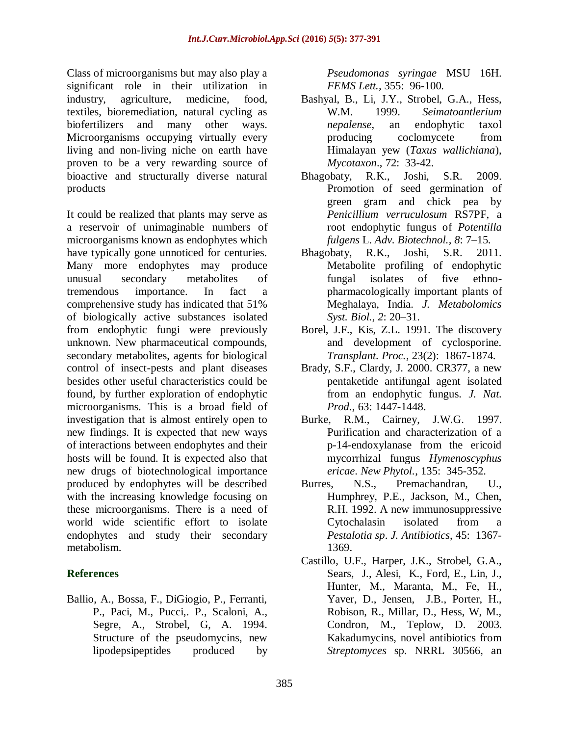Class of microorganisms but may also play a significant role in their utilization in industry, agriculture, medicine, food, textiles, bioremediation, natural cycling as biofertilizers and many other ways. Microorganisms occupying virtually every living and non-living niche on earth have proven to be a very rewarding source of bioactive and structurally diverse natural products

It could be realized that plants may serve as a reservoir of unimaginable numbers of microorganisms known as endophytes which have typically gone unnoticed for centuries. Many more endophytes may produce unusual secondary metabolites of tremendous importance. In fact a comprehensive study has indicated that 51% of biologically active substances isolated from endophytic fungi were previously unknown. New pharmaceutical compounds, secondary metabolites, agents for biological control of insect-pests and plant diseases besides other useful characteristics could be found, by further exploration of endophytic microorganisms. This is a broad field of investigation that is almost entirely open to new findings. It is expected that new ways of interactions between endophytes and their hosts will be found. It is expected also that new drugs of biotechnological importance produced by endophytes will be described with the increasing knowledge focusing on these microorganisms. There is a need of world wide scientific effort to isolate endophytes and study their secondary metabolism.

# **References**

Ballio, A., Bossa, F., DiGiogio, P., Ferranti, P., Paci, M., Pucci,. P., Scaloni, A., Segre, A., Strobel, G, A. 1994. Structure of the pseudomycins, new lipodepsipeptides produced by

*Pseudomonas syringae* MSU 16H. *FEMS Lett.,* 355: 96-100.

- Bashyal, B., Li, J.Y., Strobel, G.A., Hess, W.M. 1999. *Seimatoantlerium nepalense*, an endophytic taxol producing coclomycete from Himalayan yew (*Taxus wallichiana*), *Mycotaxon*., 72: 33-42.
- Bhagobaty, R.K., Joshi, S.R. 2009. Promotion of seed germination of green gram and chick pea by *Penicillium verruculosum* RS7PF, a root endophytic fungus of *Potentilla fulgens* L. *Adv. Biotechnol., 8*: 7–15.
- Bhagobaty, R.K., Joshi, S.R. 2011. Metabolite profiling of endophytic fungal isolates of five ethnopharmacologically important plants of Meghalaya, India. *J. Metabolomics Syst. Biol., 2*: 20–31.
- Borel, J.F., Kis, Z.L. 1991. The discovery and development of cyclosporine. *Transplant. Proc.,* 23(2): 1867-1874.
- Brady, S.F., Clardy, J. 2000. CR377, a new pentaketide antifungal agent isolated from an endophytic fungus. *J. Nat. Prod.*, 63: 1447-1448.
- Burke, R.M., Cairney, J.W.G. 1997. Purification and characterization of a p-14-endoxylanase from the ericoid mycorrhizal fungus *Hymenoscyphus ericae*. *New Phytol.*, 135: 345-352.
- Burres, N.S., Premachandran, U., Humphrey, P.E., Jackson, M., Chen, R.H. 1992. A new immunosuppressive Cytochalasin isolated from a *Pestalotia sp*. *J. Antibiotics*, 45: 1367- 1369.
- Castillo, U.F., Harper, J.K., Strobel, G.A., Sears, J., Alesi, K., Ford, E., Lin, J., Hunter, M., Maranta, M., Fe, H., Yaver, D., Jensen, J.B., Porter, H., Robison, R., Millar, D., Hess, W, M., Condron, M., Teplow, D. 2003. Kakadumycins, novel antibiotics from *Streptomyces* sp. NRRL 30566, an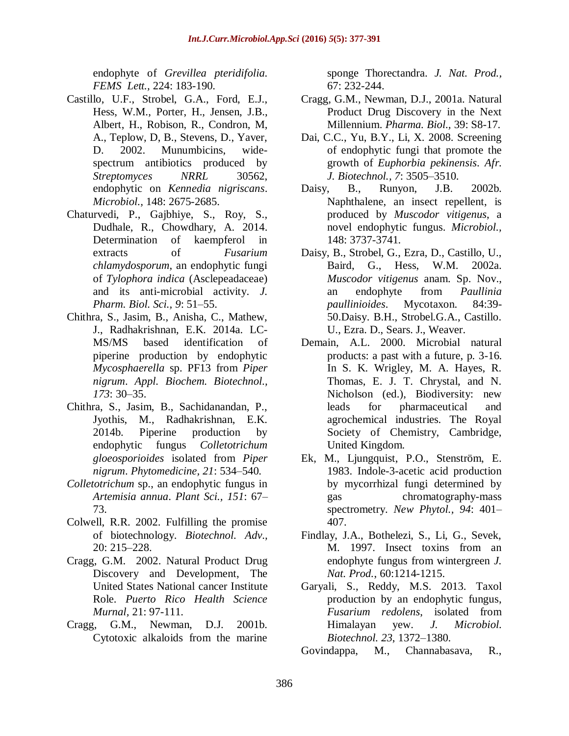endophyte of *Grevillea pteridifolia. FEMS Lett.,* 224: 183-190.

- Castillo, U.F., Strobel, G.A., Ford, E.J., Hess, W.M., Porter, H., Jensen, J.B., Albert, H., Robison, R., Condron, M, A., Teplow, D, B., Stevens, D., Yaver, D. 2002. Munumbicins, widespectrum antibiotics produced by *Streptomyces NRRL* 30562, endophytic on *Kennedia nigriscans*. *Microbiol.,* 148: 2675-2685.
- Chaturvedi, P., Gajbhiye, S., Roy, S., Dudhale, R., Chowdhary, A. 2014. Determination of kaempferol in extracts of *Fusarium chlamydosporum*, an endophytic fungi of *Tylophora indica* (Asclepeadaceae) and its anti-microbial activity. *J. Pharm. Biol. Sci., 9*: 51–55.
- Chithra, S., Jasim, B., Anisha, C., Mathew, J., Radhakrishnan, E.K. 2014a. LC-MS/MS based identification of piperine production by endophytic *Mycosphaerella* sp. PF13 from *Piper nigrum*. *Appl. Biochem. Biotechnol., 173*: 30–35.
- Chithra, S., Jasim, B., Sachidanandan, P., Jyothis, M., Radhakrishnan, E.K. 2014b. Piperine production by endophytic fungus *Colletotrichum gloeosporioides* isolated from *Piper nigrum*. *Phytomedicine, 21*: 534–540.
- *Colletotrichum* sp., an endophytic fungus in *Artemisia annua*. *Plant Sci., 151*: 67– 73.
- Colwell, R.R. 2002. Fulfilling the promise of biotechnology. *Biotechnol. Adv.,* 20: 215–228.
- Cragg, G.M. 2002. Natural Product Drug Discovery and Development, The United States National cancer Institute Role. *Puerto Rico Health Science Murnal,* 21: 97-111.
- Cragg, G.M., Newman, D.J. 2001b. Cytotoxic alkaloids from the marine

sponge Thorectandra. *J. Nat. Prod.,* 67: 232-244.

- Cragg, G.M., Newman, D.J., 2001a. Natural Product Drug Discovery in the Next Millennium. *Pharma. Biol.,* 39: S8-17.
- Dai, C.C., Yu, B.Y., Li, X. 2008. Screening of endophytic fungi that promote the growth of *Euphorbia pekinensis*. *Afr. J. Biotechnol., 7*: 3505–3510.
- Daisy, B., Runyon, J.B. 2002b. Naphthalene, an insect repellent, is produced by *Muscodor vitigenus*, a novel endophytic fungus. *Microbiol.,* 148: 3737-3741.
- Daisy, B., Strobel, G., Ezra, D., Castillo, U., Baird, G., Hess, W.M. 2002a. *Muscodor vitigenus* anam. Sp. Nov., an endophyte from *Paullinia paullinioides*. Mycotaxon. 84:39- 50.Daisy. B.H., Strobel.G.A., Castillo. U., Ezra. D., Sears. J., Weaver.
- Demain, A.L. 2000. Microbial natural products: a past with a future, p. 3-16. In S. K. Wrigley, M. A. Hayes, R. Thomas, E. J. T. Chrystal, and N. Nicholson (ed.), Biodiversity: new leads for pharmaceutical and agrochemical industries. The Royal Society of Chemistry, Cambridge, United Kingdom.
- Ek, M., Ljungquist, P.O., Stenström, E. 1983. Indole-3-acetic acid production by mycorrhizal fungi determined by gas chromatography-mass spectrometry. *New Phytol., 94*: 401– 407.
- Findlay, J.A., Bothelezi, S., Li, G., Sevek, M. 1997. Insect toxins from an endophyte fungus from wintergreen *J. Nat. Prod.*, 60:1214-1215.
- Garyali, S., Reddy, M.S. 2013. Taxol production by an endophytic fungus, *Fusarium redolens*, isolated from Himalayan yew. *J. Microbiol. Biotechnol. 23*, 1372–1380.

Govindappa, M., Channabasava, R.,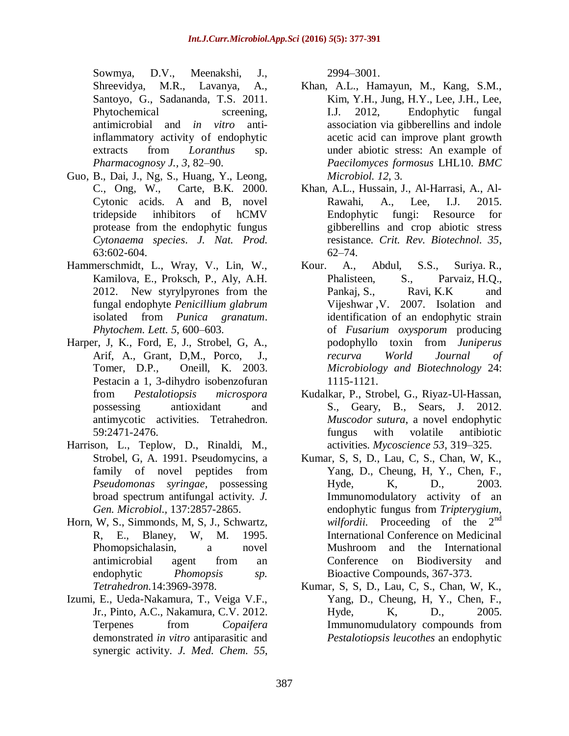Sowmya, D.V., Meenakshi, J., Shreevidya, M.R., Lavanya, A., Santoyo, G., Sadananda, T.S. 2011. Phytochemical screening, antimicrobial and *in vitro* antiinflammatory activity of endophytic extracts from *Loranthus* sp. *Pharmacognosy J., 3*, 82–90.

- Guo, B., Dai, J., Ng, S., Huang, Y., Leong, C., Ong, W., Carte, B.K. 2000. Cytonic acids. A and B, novel tridepside inhibitors of hCMV protease from the endophytic fungus *Cytonaema species*. *J. Nat. Prod.*  63:602-604.
- Hammerschmidt, L., Wray, V., Lin, W., Kamilova, E., Proksch, P., Aly, A.H. 2012. New styrylpyrones from the fungal endophyte *Penicillium glabrum*  isolated from *Punica granatum*. *Phytochem. Lett. 5*, 600–603.
- Harper, J, K., Ford, E, J., Strobel, G, A., Arif, A., Grant, D,M., Porco, J., Tomer, D.P., Oneill, K. 2003. Pestacin a 1, 3-dihydro isobenzofuran from *Pestalotiopsis microspora* possessing antioxidant and antimycotic activities. Tetrahedron. 59:2471-2476.
- Harrison, L., Teplow, D., Rinaldi, M., Strobel, G, A. 1991. Pseudomycins, a family of novel peptides from *Pseudomonas syringae,* possessing broad spectrum antifungal activity. *J. Gen. Microbiol.,* 137:2857-2865.
- Horn, W, S., Simmonds, M, S, J., Schwartz, R, E., Blaney, W, M. 1995. Phomopsichalasin, a novel antimicrobial agent from an endophytic *Phomopsis sp. Tetrahedron.*14:3969-3978.
- Izumi, E., Ueda-Nakamura, T., Veiga V.F., Jr., Pinto, A.C., Nakamura, C.V. 2012. Terpenes from *Copaifera*  demonstrated *in vitro* antiparasitic and synergic activity. *J. Med. Chem. 55*,

2994–3001.

- Khan, A.L., Hamayun, M., Kang, S.M., Kim, Y.H., Jung, H.Y., Lee, J.H., Lee, I.J. 2012, Endophytic fungal association via gibberellins and indole acetic acid can improve plant growth under abiotic stress: An example of *Paecilomyces formosus* LHL10. *BMC Microbiol. 12*, 3.
- Khan, A.L., Hussain, J., Al-Harrasi, A., Al-Rawahi, A., Lee, I.J. 2015. Endophytic fungi: Resource for gibberellins and crop abiotic stress resistance*. Crit. Rev. Biotechnol. 35*, 62–74.
- Kour. A., Abdul, S.S., Suriya. R., Phalisteen, S., Parvaiz, H.Q., Pankaj, S., Ravi, K.K and Vijeshwar ,V. 2007. Isolation and identification of an endophytic strain of *Fusarium oxysporum* producing podophyllo toxin from *Juniperus recurva [World Journal of](http://www.springerlink.com/content/100229/?p=9a842daa35dc4a89b6c31724914cdf94&pi=0)  [Microbiology and Biotechnology](http://www.springerlink.com/content/100229/?p=9a842daa35dc4a89b6c31724914cdf94&pi=0)* 24: 1115-1121.
- Kudalkar, P., Strobel, G., Riyaz-Ul-Hassan, S., Geary, B., Sears, J. 2012. *Muscodor sutura*, a novel endophytic fungus with volatile antibiotic activities. *Mycoscience 53*, 319–325.
- Kumar, S, S, D., Lau, C, S., Chan, W, K., Yang, D., Cheung, H, Y., Chen, F., Hyde, K, D., 2003. Immunomodulatory activity of an endophytic fungus from *Tripterygium*, *wilfordii.* Proceeding of the 2<sup>nd</sup> International Conference on Medicinal Mushroom and the International Conference on Biodiversity and Bioactive Compounds, 367-373.
- Kumar, S, S, D., Lau, C, S., Chan, W, K., Yang, D., Cheung, H, Y., Chen, F., Hyde, K, D., 2005. Immunomudulatory compounds from *Pestalotiopsis leucothes* an endophytic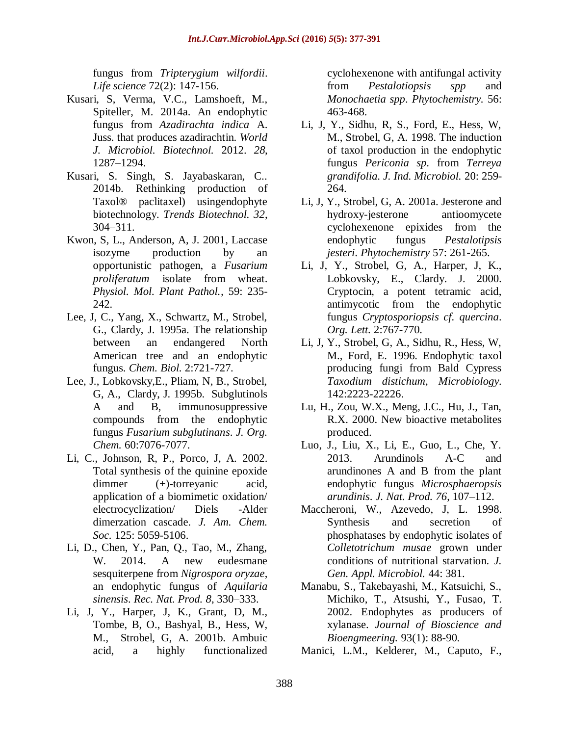fungus from *Tripterygium wilfordii*. *Life science* 72(2): 147-156.

- Kusari, S, Verma, V.C., Lamshoeft, M., Spiteller, M. 2014a. An endophytic fungus from *Azadirachta indica* A. Juss. that produces azadirachtin. *World J. Microbiol. Biotechnol.* 2012. *28*, 1287–1294.
- Kusari, S. Singh, S. Jayabaskaran, C.. 2014b. Rethinking production of Taxol® paclitaxel) usingendophyte biotechnology. *Trends Biotechnol. 32*, 304–311.
- Kwon, S, L., Anderson, A, J. 2001, Laccase isozyme production by an opportunistic pathogen, a *Fusarium proliferatum* isolate from wheat. *Physiol. Mol. Plant Pathol.,* 59: 235- 242.
- Lee, J, C., Yang, X., Schwartz, M., Strobel, G., Clardy, J. 1995a. The relationship between an endangered North American tree and an endophytic fungus. *Chem. Biol.* 2:721-727.
- Lee, J., Lobkovsky,E., Pliam, N, B., Strobel, G, A., Clardy, J. 1995b. Subglutinols A and B, immunosuppressive compounds from the endophytic fungus *Fusarium subglutinans*. *J. Org. Chem.* 60:7076-7077.
- Li, C., Johnson, R, P., Porco, J, A. 2002. Total synthesis of the quinine epoxide dimmer (+)-torreyanic acid, application of a biomimetic oxidation/ electrocyclization/ Diels -Alder dimerzation cascade. *J. Am. Chem. Soc.* 125: 5059-5106.
- Li, D., Chen, Y., Pan, Q., Tao, M., Zhang, W. 2014. A new eudesmane sesquiterpene from *Nigrospora oryzae*, an endophytic fungus of *Aquilaria sinensis*. *Rec. Nat. Prod. 8*, 330–333.
- Li, J, Y., Harper, J, K., Grant, D, M., Tombe, B, O., Bashyal, B., Hess, W, M., Strobel, G, A. 2001b. Ambuic acid, a highly functionalized

cyclohexenone with antifungal activity from *Pestalotiopsis spp* and *Monochaetia spp*. *Phytochemistry.* 56: 463-468.

- Li, J, Y., Sidhu, R, S., Ford, E., Hess, W, M., Strobel, G, A. 1998. The induction of taxol production in the endophytic fungus *Periconia sp*. from *Terreya grandifolia*. *J. Ind. Microbiol.* 20: 259- 264.
- Li, J, Y., Strobel, G, A. 2001a. Jesterone and hydroxy-jesterone antioomycete cyclohexenone epixides from the endophytic fungus *Pestalotipsis jesteri*. *Phytochemistry* 57: 261-265.
- Li, J, Y., Strobel, G, A., Harper, J, K., Lobkovsky, E., Clardy. J. 2000. Cryptocin, a potent tetramic acid, antimycotic from the endophytic fungus *Cryptosporiopsis cf. quercina*. *Org. Lett.* 2:767-770.
- Li, J, Y., Strobel, G, A., Sidhu, R., Hess, W, M., Ford, E. 1996. Endophytic taxol producing fungi from Bald Cypress *Taxodium distichum*, *Microbiology.*  142:2223-22226.
- Lu, H., Zou, W.X., Meng, J.C., Hu, J., Tan, R.X. 2000. New bioactive metabolites produced.
- Luo, J., Liu, X., Li, E., Guo, L., Che, Y. 2013. Arundinols A-C and arundinones A and B from the plant endophytic fungus *Microsphaeropsis arundinis*. *J. Nat. Prod. 76*, 107–112.
- Maccheroni, W., Azevedo, J, L. 1998. Synthesis and secretion of phosphatases by endophytic isolates of *Colletotrichum musae* grown under conditions of nutritional starvation. *J. Gen. Appl. Microbiol.* 44: 381.
- Manabu, S., Takebayashi, M., Katsuichi, S., Michiko, T., Atsushi, Y., Fusao, T. 2002. Endophytes as producers of xylanase. *Journal of Bioscience and Bioengmeering.* 93(1): 88-90.
- Manici, L.M., Kelderer, M., Caputo, F.,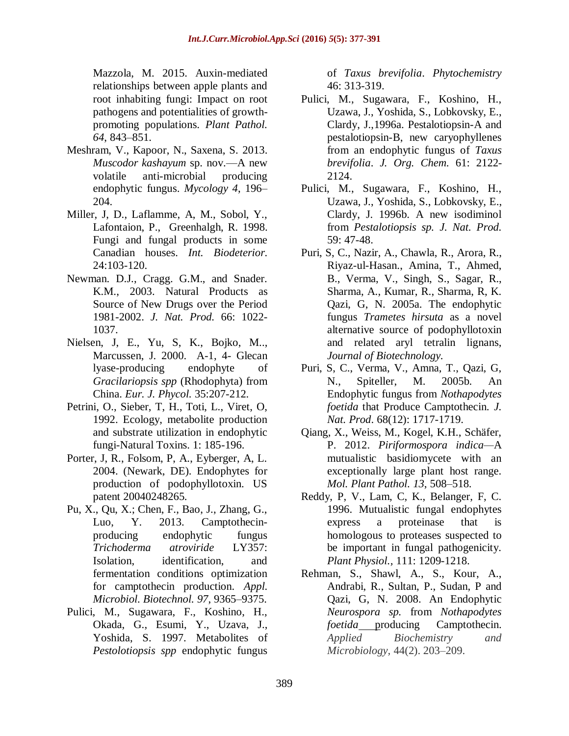Mazzola, M. 2015. Auxin-mediated relationships between apple plants and root inhabiting fungi: Impact on root pathogens and potentialities of growthpromoting populations. *Plant Pathol. 64*, 843–851.

- Meshram, V., Kapoor, N., Saxena, S. 2013. *Muscodor kashayum* sp. nov.—A new volatile anti-microbial producing endophytic fungus. *Mycology 4*, 196– 204.
- Miller, J, D., Laflamme, A, M., Sobol, Y., Lafontaion, P., Greenhalgh, R. 1998. Fungi and fungal products in some Canadian houses. *Int. Biodeterior.*  24:103-120.
- Newman. D.J., Cragg. G.M., and Snader. K.M., 2003. Natural Products as Source of New Drugs over the Period 1981-2002. *J. Nat. Prod.* 66: 1022- 1037.
- Nielsen, J, E., Yu, S, K., Bojko, M.., Marcussen, J. 2000. A-1, 4- Glecan lyase-producing endophyte of *Gracilariopsis spp* (Rhodophyta) from China. *Eur. J. Phycol.* 35:207-212.
- Petrini, O., Sieber, T, H., Toti, L., Viret, O, 1992. Ecology, metabolite production and substrate utilization in endophytic fungi-Natural Toxins. 1: 185-196.
- Porter, J, R., Folsom, P, A., Eyberger, A, L. 2004. (Newark, DE). Endophytes for production of podophyllotoxin. US patent 20040248265.
- Pu, X., Qu, X.; Chen, F., Bao, J., Zhang, G., Luo, Y. 2013. Camptothecinproducing endophytic fungus *Trichoderma atroviride* LY357: Isolation, identification, and fermentation conditions optimization for camptothecin production. *Appl. Microbiol. Biotechnol. 97*, 9365–9375.
- Pulici, M., Sugawara, F., Koshino, H., Okada, G., Esumi, Y., Uzava, J., Yoshida, S. 1997. Metabolites of *Pestolotiopsis spp* endophytic fungus

of *Taxus brevifolia*. *Phytochemistry*  46: 313-319.

- Pulici, M., Sugawara, F., Koshino, H., Uzawa, J., Yoshida, S., Lobkovsky, E., Clardy, J.,1996a. Pestalotiopsin-A and pestalotiopsin-B, new caryophyllenes from an endophytic fungus of *Taxus brevifolia*. *J. Org. Chem.* 61: 2122- 2124.
- Pulici, M., Sugawara, F., Koshino, H., Uzawa, J., Yoshida, S., Lobkovsky, E., Clardy, J. 1996b. A new isodiminol from *Pestalotiopsis sp. J. Nat. Prod.* 59: 47-48.
- Puri, S, C., Nazir, A., Chawla, R., Arora, R., Riyaz-ul-Hasan., Amina, T., Ahmed, B., Verma, V., Singh, S., Sagar, R., Sharma, A., Kumar, R., Sharma, R, K. Qazi, G, N. 2005a. The endophytic fungus *Trametes hirsuta* as a novel alternative source of podophyllotoxin and related aryl tetralin lignans, *Journal of Biotechnology.*
- Puri, S, C., Verma, V., Amna, T., Qazi, G, N., Spiteller, M. 2005b. An Endophytic fungus from *Nothapodytes foetida* that Produce Camptothecin. *J. Nat. Prod*. 68(12): 1717-1719.
- Qiang, X., Weiss, M., Kogel, K.H., Schäfer, P. 2012. *Piriformospora indica—*A mutualistic basidiomycete with an exceptionally large plant host range. *Mol. Plant Pathol. 13*, 508–518.
- Reddy, P, V., Lam, C, K., Belanger, F, C. 1996. Mutualistic fungal endophytes express a proteinase that is homologous to proteases suspected to be important in fungal pathogenicity. *Plant Physiol.,* 111: 1209-1218.
- Rehman, S., Shawl, A., S., Kour, A., Andrabi, R., Sultan, P., Sudan, P and Qazi, G, N. 2008. An Endophytic *Neurospora sp.* from *Nothapodytes foetida* producing Camptothecin. *Applied Biochemistry and Microbiology,* 44(2). 203–209.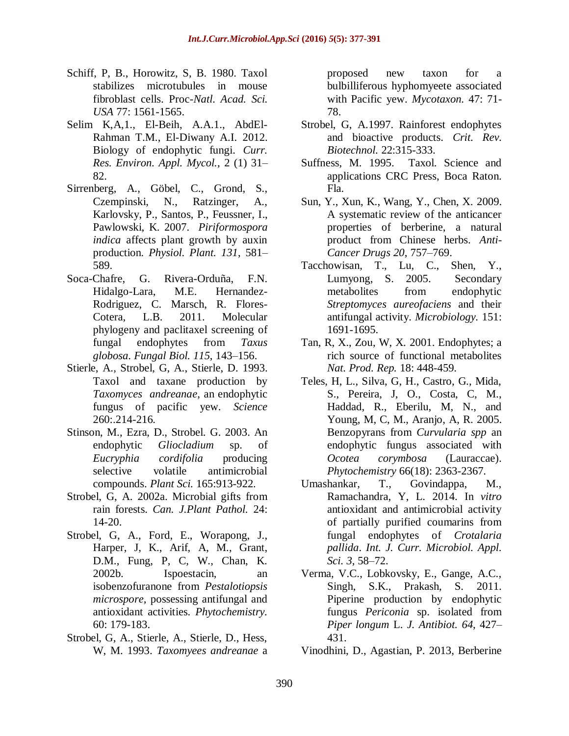- Schiff, P, B., Horowitz, S, B. 1980. Taxol stabilizes microtubules in mouse fibroblast cells. Proc-*Natl. Acad. Sci. USA* 77: 1561-1565.
- Selim K,A,1., El-Beih, A.A.1., AbdEl-Rahman T.M., El-Diwany A.I. 2012. Biology of endophytic fungi. *Curr. Res. Environ. Appl. Mycol.,* 2 (1) 31– 82.
- Sirrenberg, A., Göbel, C., Grond, S., Czempinski, N., Ratzinger, A., Karlovsky, P., Santos, P., Feussner, I., Pawlowski, K. 2007. *Piriformospora indica* affects plant growth by auxin production. *Physiol. Plant. 131*, 581– 589.
- Soca-Chafre, G. Rivera-Orduña, F.N. Hidalgo-Lara, M.E. Hernandez-Rodriguez, C. Marsch, R. Flores-Cotera, L.B. 2011. Molecular phylogeny and paclitaxel screening of fungal endophytes from *Taxus globosa*. *Fungal Biol. 115*, 143–156.
- Stierle, A., Strobel, G, A., Stierle, D. 1993. Taxol and taxane production by *Taxomyces andreanae*, an endophytic fungus of pacific yew. *Science*  260:.214-216.
- Stinson, M., Ezra, D., Strobel. G. 2003. An endophytic *Gliocladium* sp. of *Eucryphia cordifolia* producing selective volatile antimicrobial compounds. *Plant Sci.* 165:913-922.
- Strobel, G, A. 2002a. Microbial gifts from rain forests. *Can. J.Plant Pathol.* 24: 14-20.
- Strobel, G, A., Ford, E., Worapong, J., Harper, J, K., Arif, A, M., Grant, D.M., Fung, P, C, W., Chan, K. 2002b. Ispoestacin, an isobenzofuranone from *Pestalotiopsis microspore,* possessing antifungal and antioxidant activities. *Phytochemistry.*  60: 179-183.
- Strobel, G, A., Stierle, A., Stierle, D., Hess, W, M. 1993. *Taxomyees andreanae* a

proposed new taxon for a bulbilliferous hyphomyeete associated with Pacific yew. *Mycotaxon.* 47: 71- 78.

- Strobel, G, A.1997. Rainforest endophytes and bioactive products. *Crit. Rev. Biotechnol.* 22:315-333.
- Suffness, M. 1995. Taxol. Science and applications CRC Press, Boca Raton. Fla.
- Sun, Y., Xun, K., Wang, Y., Chen, X. 2009. A systematic review of the anticancer properties of berberine, a natural product from Chinese herbs. *Anti-Cancer Drugs 20*, 757–769.
- Tacchowisan, T., Lu, C., Shen, Y., Lumyong, S. 2005. Secondary metabolites from endophytic *Streptomyces aureofaciens* and their antifungal activity. *Microbiology.* 151: 1691-1695.
- Tan, R, X., Zou, W, X. 2001. Endophytes; a rich source of functional metabolites *Nat. Prod. Rep.* 18: 448-459.
- Teles, H, L., Silva, G, H., Castro, G., Mida, S., Pereira, J, O., Costa, C, M., Haddad, R., Eberilu, M, N., and Young, M, C, M., Aranjo, A, R. 2005. Benzopyrans from *Curvularia spp* an endophytic fungus associated with *Ocotea corymbosa* (Lauraccae). *Phytochemistry* 66(18): 2363-2367.
- Umashankar, T., Govindappa, M., Ramachandra, Y, L. 2014. In *vitro*  antioxidant and antimicrobial activity of partially purified coumarins from fungal endophytes of *Crotalaria pallida*. *Int. J. Curr. Microbiol. Appl. Sci. 3*, 58–72.
- Verma, V.C., Lobkovsky, E., Gange, A.C., Singh, S.K., Prakash, S. 2011. Piperine production by endophytic fungus *Periconia* sp. isolated from *Piper longum* L. *J. Antibiot. 64*, 427– 431.
- Vinodhini, D., Agastian, P. 2013, Berberine